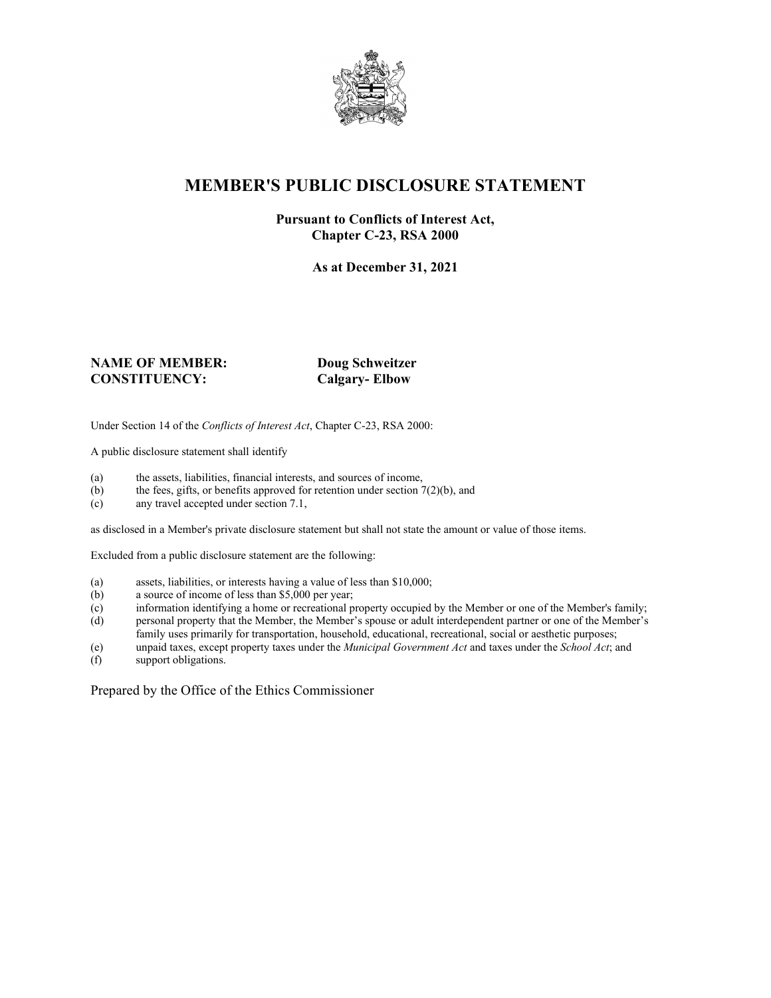

## **MEMBER'S PUBLIC DISCLOSURE STATEMENT**

#### **Pursuant to Conflicts of Interest Act, Chapter C-23, RSA 2000**

**As at December 31, 2021**

#### **NAME OF MEMBER: Doug Schweitzer CONSTITUENCY: Calgary- Elbow**

Under Section 14 of the *Conflicts of Interest Act*, Chapter C-23, RSA 2000:

A public disclosure statement shall identify

- (a) the assets, liabilities, financial interests, and sources of income,  $(b)$  the fees, gifts, or benefits approved for retention under section 7
- the fees, gifts, or benefits approved for retention under section  $7(2)(b)$ , and
- (c) any travel accepted under section 7.1,

as disclosed in a Member's private disclosure statement but shall not state the amount or value of those items.

Excluded from a public disclosure statement are the following:

- (a) assets, liabilities, or interests having a value of less than \$10,000;<br>(b) a source of income of less than \$5,000 per year;
- a source of income of less than  $$5,000$  per year;
- (c) information identifying a home or recreational property occupied by the Member or one of the Member's family;
- (d) personal property that the Member, the Member's spouse or adult interdependent partner or one of the Member's family uses primarily for transportation, household, educational, recreational, social or aesthetic purposes;
- (e) unpaid taxes, except property taxes under the *Municipal Government Act* and taxes under the *School Act*; and
- (f) support obligations.

Prepared by the Office of the Ethics Commissioner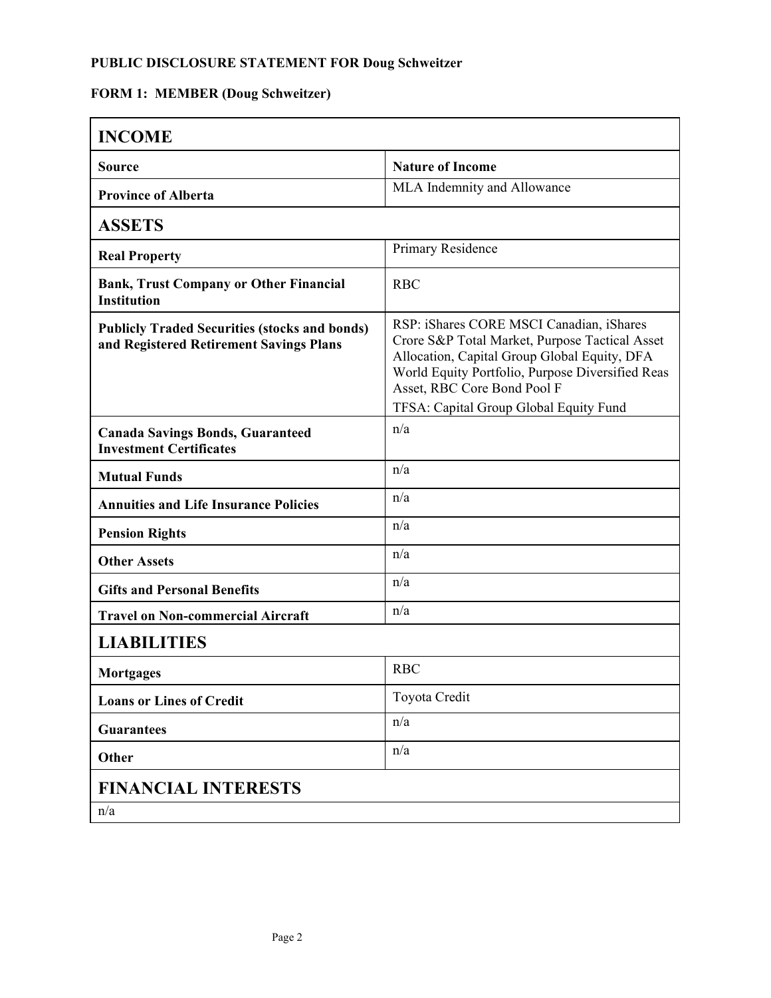### **PUBLIC DISCLOSURE STATEMENT FOR Doug Schweitzer**

## **FORM 1: MEMBER (Doug Schweitzer)**

| <b>INCOME</b>                                                                                   |                                                                                                                                                                                                                               |
|-------------------------------------------------------------------------------------------------|-------------------------------------------------------------------------------------------------------------------------------------------------------------------------------------------------------------------------------|
| <b>Source</b>                                                                                   | <b>Nature of Income</b>                                                                                                                                                                                                       |
| <b>Province of Alberta</b>                                                                      | MLA Indemnity and Allowance                                                                                                                                                                                                   |
| <b>ASSETS</b>                                                                                   |                                                                                                                                                                                                                               |
| <b>Real Property</b>                                                                            | Primary Residence                                                                                                                                                                                                             |
| <b>Bank, Trust Company or Other Financial</b><br><b>Institution</b>                             | <b>RBC</b>                                                                                                                                                                                                                    |
| <b>Publicly Traded Securities (stocks and bonds)</b><br>and Registered Retirement Savings Plans | RSP: iShares CORE MSCI Canadian, iShares<br>Crore S&P Total Market, Purpose Tactical Asset<br>Allocation, Capital Group Global Equity, DFA<br>World Equity Portfolio, Purpose Diversified Reas<br>Asset, RBC Core Bond Pool F |
|                                                                                                 | TFSA: Capital Group Global Equity Fund                                                                                                                                                                                        |
| <b>Canada Savings Bonds, Guaranteed</b><br><b>Investment Certificates</b>                       | n/a                                                                                                                                                                                                                           |
| <b>Mutual Funds</b>                                                                             | n/a                                                                                                                                                                                                                           |
| <b>Annuities and Life Insurance Policies</b>                                                    | n/a                                                                                                                                                                                                                           |
| <b>Pension Rights</b>                                                                           | n/a                                                                                                                                                                                                                           |
| <b>Other Assets</b>                                                                             | n/a                                                                                                                                                                                                                           |
| <b>Gifts and Personal Benefits</b>                                                              | n/a                                                                                                                                                                                                                           |
| <b>Travel on Non-commercial Aircraft</b>                                                        | n/a                                                                                                                                                                                                                           |
| <b>LIABILITIES</b>                                                                              |                                                                                                                                                                                                                               |
| Mortgages                                                                                       | <b>RBC</b>                                                                                                                                                                                                                    |
| <b>Loans or Lines of Credit</b>                                                                 | Toyota Credit                                                                                                                                                                                                                 |
| <b>Guarantees</b>                                                                               | n/a                                                                                                                                                                                                                           |
| Other                                                                                           | n/a                                                                                                                                                                                                                           |
| <b>FINANCIAL INTERESTS</b>                                                                      |                                                                                                                                                                                                                               |
| n/a                                                                                             |                                                                                                                                                                                                                               |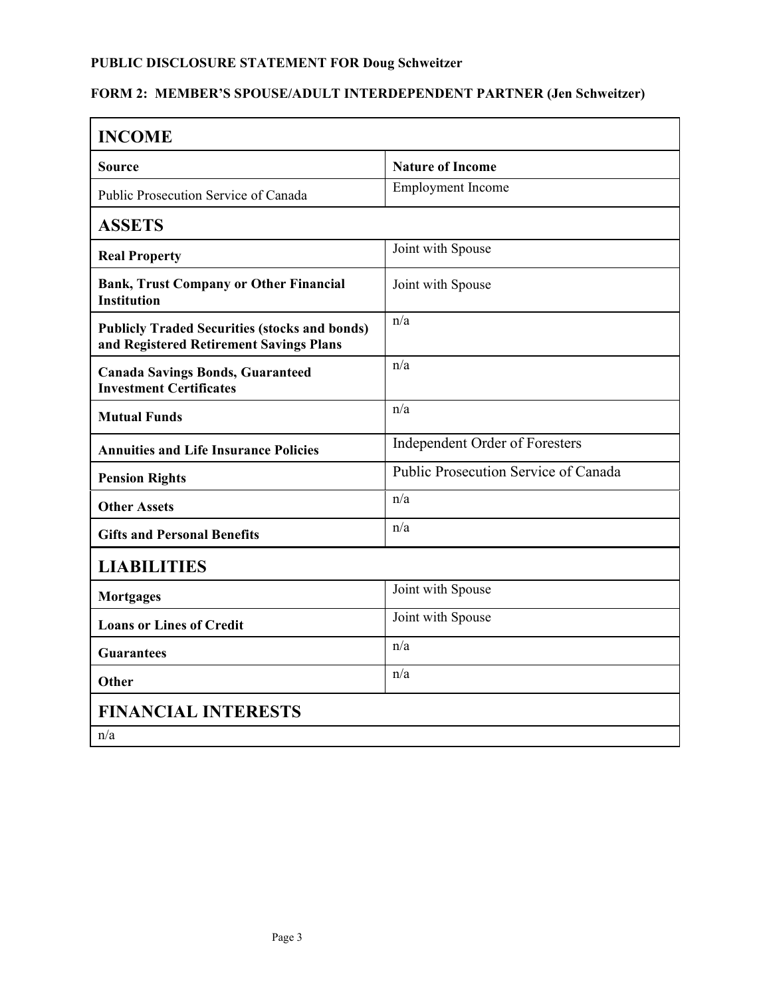# **PUBLIC DISCLOSURE STATEMENT FOR Doug Schweitzer**

### **FORM 2: MEMBER'S SPOUSE/ADULT INTERDEPENDENT PARTNER (Jen Schweitzer)**

| <b>INCOME</b>                                                                                   |                                      |  |
|-------------------------------------------------------------------------------------------------|--------------------------------------|--|
| <b>Source</b>                                                                                   | <b>Nature of Income</b>              |  |
| Public Prosecution Service of Canada                                                            | <b>Employment Income</b>             |  |
| <b>ASSETS</b>                                                                                   |                                      |  |
| <b>Real Property</b>                                                                            | Joint with Spouse                    |  |
| <b>Bank, Trust Company or Other Financial</b><br><b>Institution</b>                             | Joint with Spouse                    |  |
| <b>Publicly Traded Securities (stocks and bonds)</b><br>and Registered Retirement Savings Plans | n/a                                  |  |
| <b>Canada Savings Bonds, Guaranteed</b><br><b>Investment Certificates</b>                       | n/a                                  |  |
| <b>Mutual Funds</b>                                                                             | n/a                                  |  |
| <b>Annuities and Life Insurance Policies</b>                                                    | Independent Order of Foresters       |  |
| <b>Pension Rights</b>                                                                           | Public Prosecution Service of Canada |  |
| <b>Other Assets</b>                                                                             | n/a                                  |  |
| <b>Gifts and Personal Benefits</b>                                                              | n/a                                  |  |
| <b>LIABILITIES</b>                                                                              |                                      |  |
| <b>Mortgages</b>                                                                                | Joint with Spouse                    |  |
| <b>Loans or Lines of Credit</b>                                                                 | Joint with Spouse                    |  |
| <b>Guarantees</b>                                                                               | n/a                                  |  |
| <b>Other</b>                                                                                    | n/a                                  |  |
| <b>FINANCIAL INTERESTS</b>                                                                      |                                      |  |
| n/a                                                                                             |                                      |  |